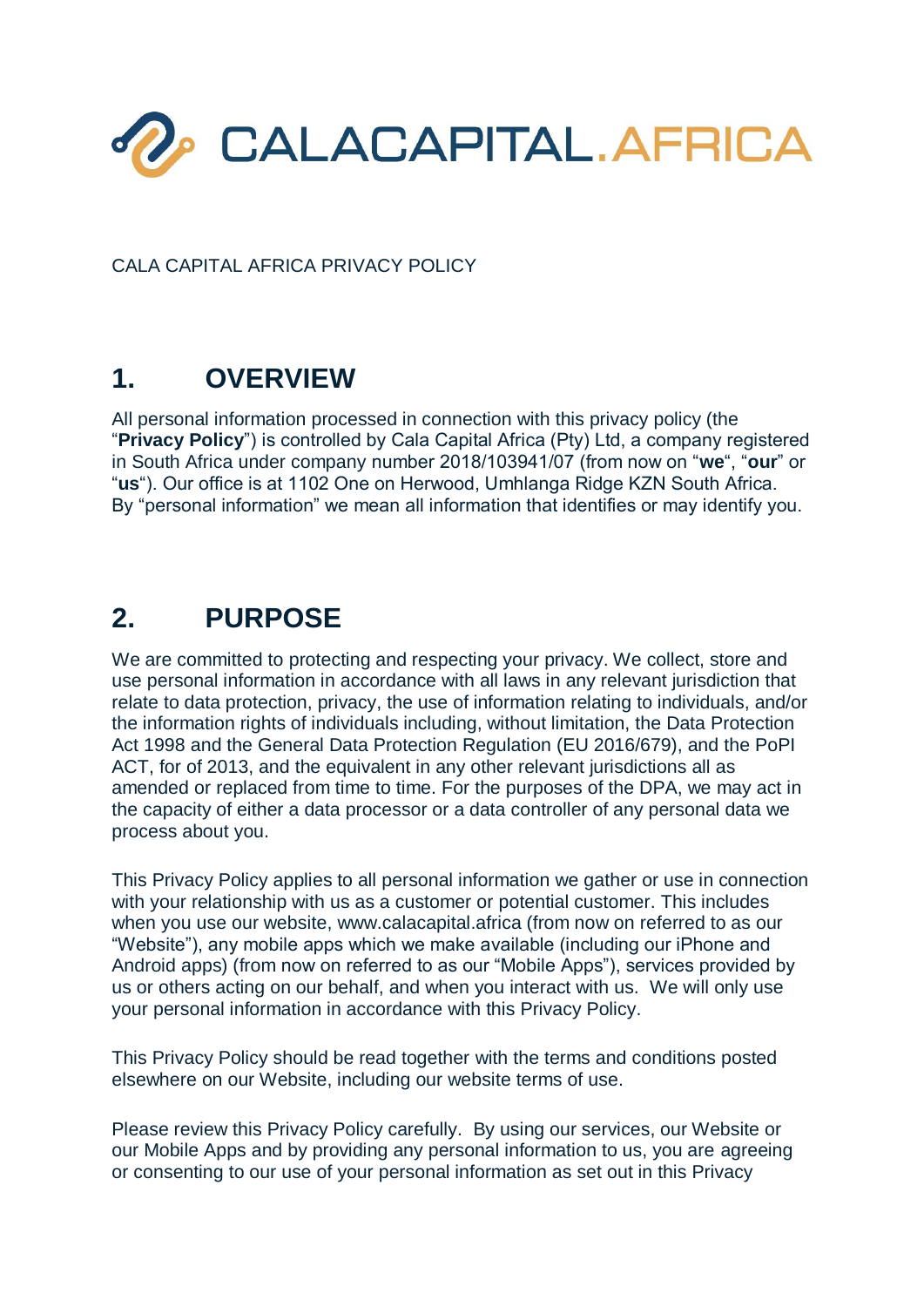

CALA CAPITAL AFRICA PRIVACY POLICY

## **1. OVERVIEW**

All personal information processed in connection with this privacy policy (the "**Privacy Policy**") is controlled by Cala Capital Africa (Pty) Ltd, a company registered in South Africa under company number 2018/103941/07 (from now on "**we**", "**our**" or "**us**"). Our office is at 1102 One on Herwood, Umhlanga Ridge KZN South Africa. By "personal information" we mean all information that identifies or may identify you.

### **2. PURPOSE**

We are committed to protecting and respecting your privacy. We collect, store and use personal information in accordance with all laws in any relevant jurisdiction that relate to data protection, privacy, the use of information relating to individuals, and/or the information rights of individuals including, without limitation, the Data Protection Act 1998 and the General Data Protection Regulation (EU 2016/679), and the PoPI ACT, for of 2013, and the equivalent in any other relevant jurisdictions all as amended or replaced from time to time. For the purposes of the DPA, we may act in the capacity of either a data processor or a data controller of any personal data we process about you.

This Privacy Policy applies to all personal information we gather or use in connection with your relationship with us as a customer or potential customer. This includes when you use our website, www.calacapital.africa (from now on referred to as our "Website"), any mobile apps which we make available (including our iPhone and Android apps) (from now on referred to as our "Mobile Apps"), services provided by us or others acting on our behalf, and when you interact with us. We will only use your personal information in accordance with this Privacy Policy.

This Privacy Policy should be read together with the terms and conditions posted elsewhere on our Website, including our website terms of use.

Please review this Privacy Policy carefully. By using our services, our Website or our Mobile Apps and by providing any personal information to us, you are agreeing or consenting to our use of your personal information as set out in this Privacy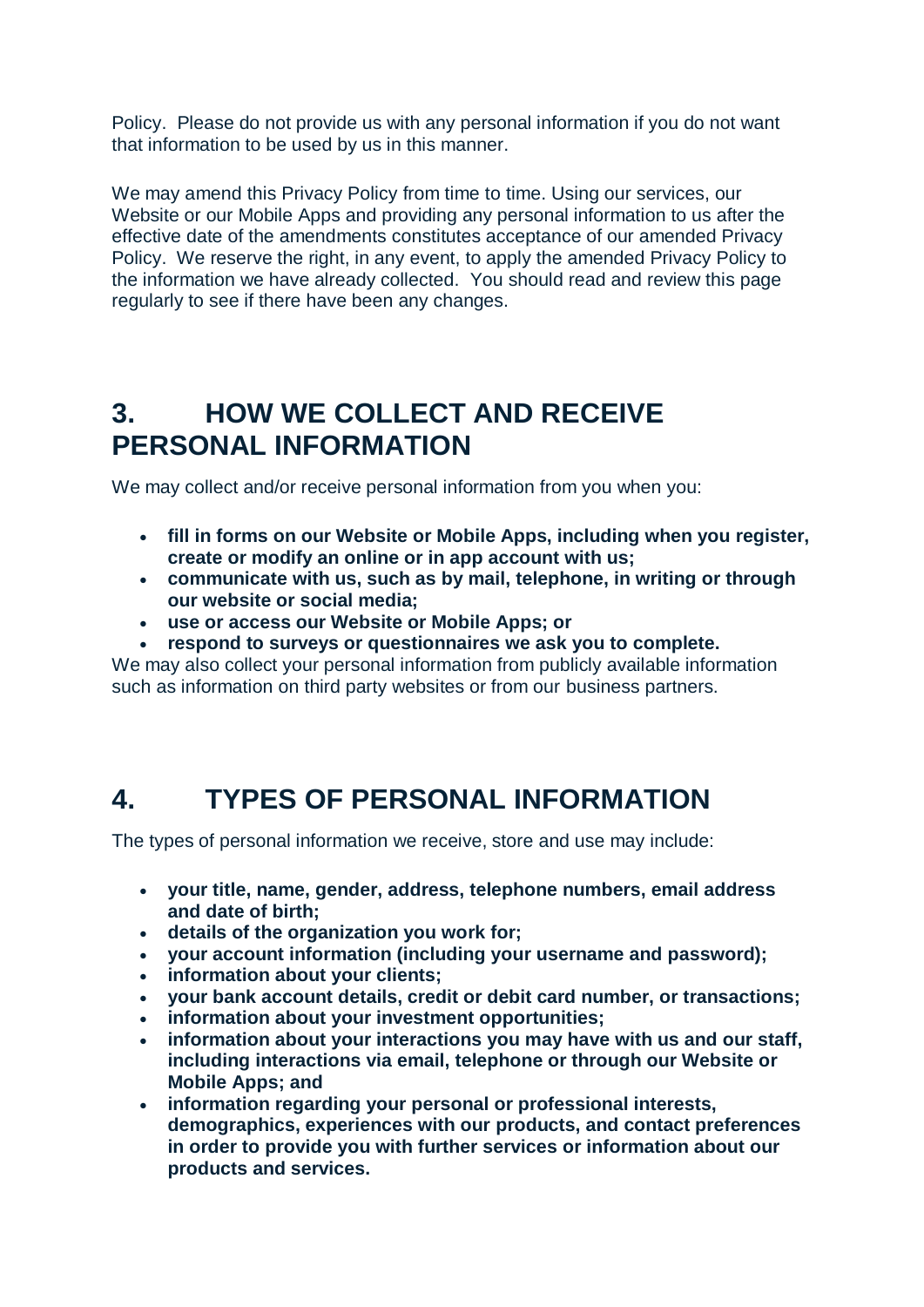Policy. Please do not provide us with any personal information if you do not want that information to be used by us in this manner.

We may amend this Privacy Policy from time to time. Using our services, our Website or our Mobile Apps and providing any personal information to us after the effective date of the amendments constitutes acceptance of our amended Privacy Policy. We reserve the right, in any event, to apply the amended Privacy Policy to the information we have already collected. You should read and review this page regularly to see if there have been any changes.

### **3. HOW WE COLLECT AND RECEIVE PERSONAL INFORMATION**

We may collect and/or receive personal information from you when you:

- **fill in forms on our Website or Mobile Apps, including when you register, create or modify an online or in app account with us;**
- **communicate with us, such as by mail, telephone, in writing or through our website or social media;**
- **use or access our Website or Mobile Apps; or**
- **respond to surveys or questionnaires we ask you to complete.**

We may also collect your personal information from publicly available information such as information on third party websites or from our business partners.

### **4. TYPES OF PERSONAL INFORMATION**

The types of personal information we receive, store and use may include:

- **your title, name, gender, address, telephone numbers, email address and date of birth;**
- **details of the organization you work for;**
- **your account information (including your username and password);**
- **information about your clients;**
- **your bank account details, credit or debit card number, or transactions;**
- **information about your investment opportunities;**
- **information about your interactions you may have with us and our staff, including interactions via email, telephone or through our Website or Mobile Apps; and**
- **information regarding your personal or professional interests, demographics, experiences with our products, and contact preferences in order to provide you with further services or information about our products and services.**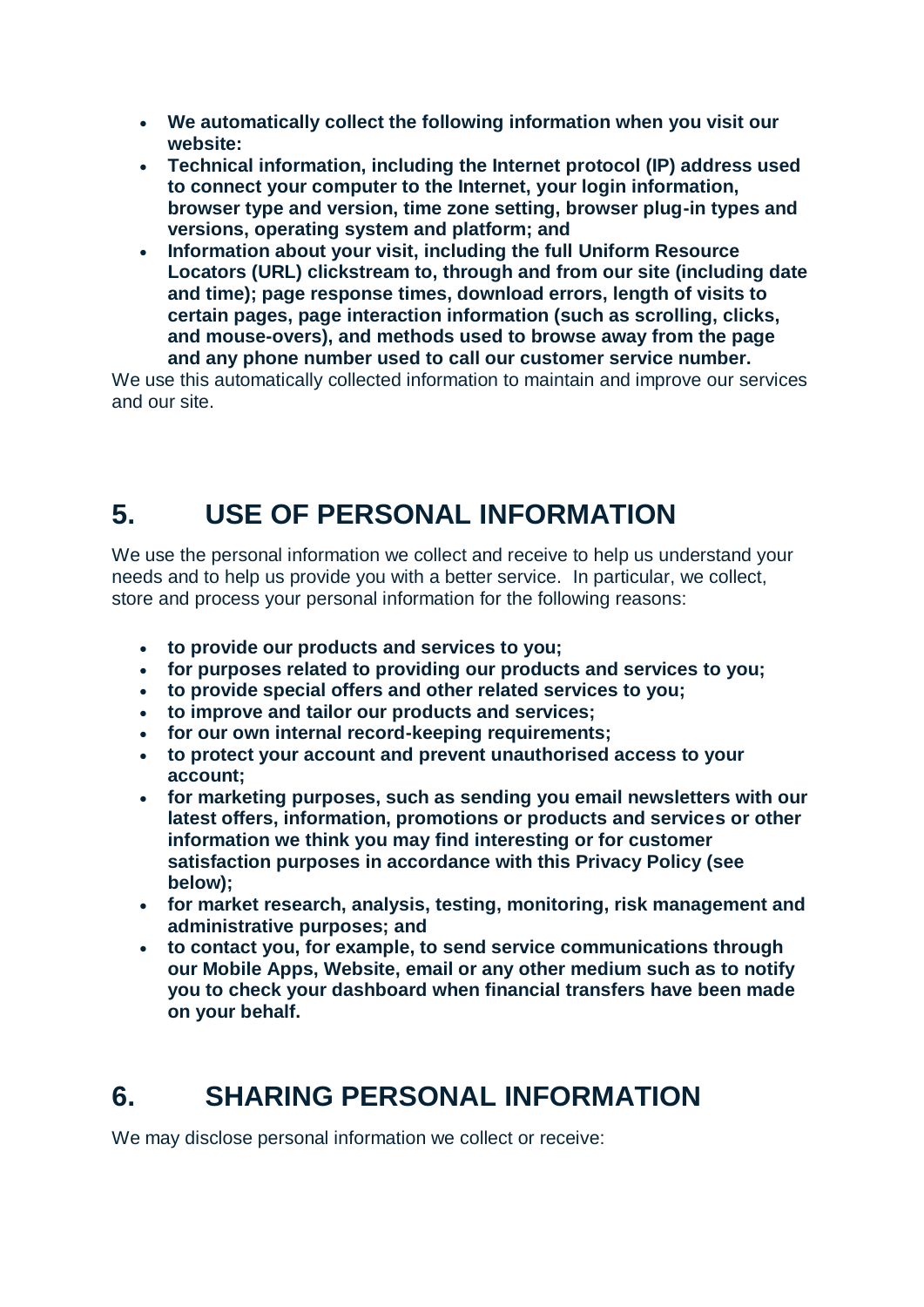- **We automatically collect the following information when you visit our website:**
- **Technical information, including the Internet protocol (IP) address used to connect your computer to the Internet, your login information, browser type and version, time zone setting, browser plug-in types and versions, operating system and platform; and**
- **Information about your visit, including the full Uniform Resource Locators (URL) clickstream to, through and from our site (including date and time); page response times, download errors, length of visits to certain pages, page interaction information (such as scrolling, clicks, and mouse-overs), and methods used to browse away from the page and any phone number used to call our customer service number.**

We use this automatically collected information to maintain and improve our services and our site.

# **5. USE OF PERSONAL INFORMATION**

We use the personal information we collect and receive to help us understand your needs and to help us provide you with a better service. In particular, we collect, store and process your personal information for the following reasons:

- **to provide our products and services to you;**
- **for purposes related to providing our products and services to you;**
- **to provide special offers and other related services to you;**
- **to improve and tailor our products and services;**
- **for our own internal record-keeping requirements;**
- **to protect your account and prevent unauthorised access to your account;**
- **for marketing purposes, such as sending you email newsletters with our latest offers, information, promotions or products and services or other information we think you may find interesting or for customer satisfaction purposes in accordance with this Privacy Policy (see below);**
- **for market research, analysis, testing, monitoring, risk management and administrative purposes; and**
- **to contact you, for example, to send service communications through our Mobile Apps, Website, email or any other medium such as to notify you to check your dashboard when financial transfers have been made on your behalf.**

# **6. SHARING PERSONAL INFORMATION**

We may disclose personal information we collect or receive: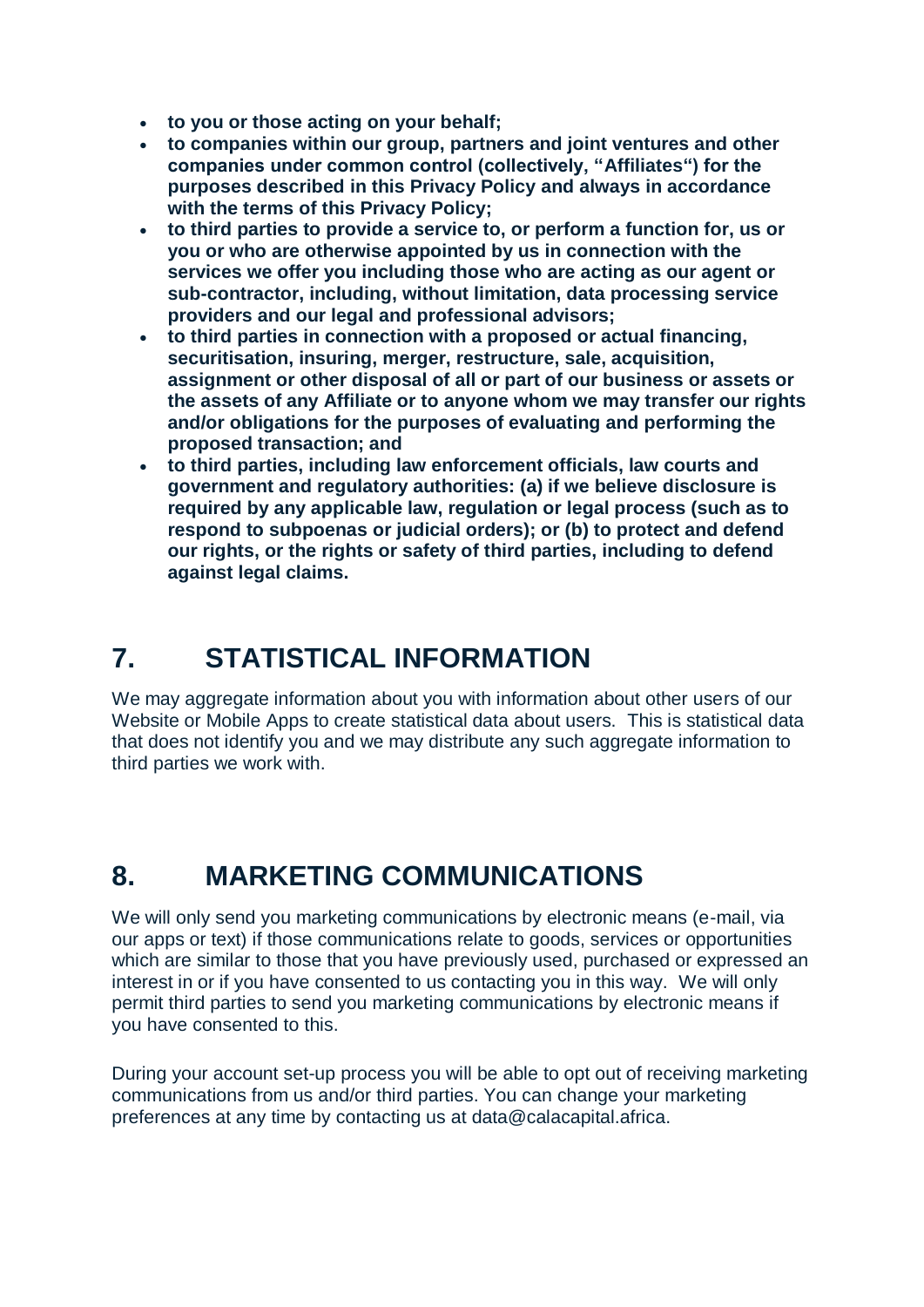- **to you or those acting on your behalf;**
- **to companies within our group, partners and joint ventures and other companies under common control (collectively, "Affiliates") for the purposes described in this Privacy Policy and always in accordance with the terms of this Privacy Policy;**
- **to third parties to provide a service to, or perform a function for, us or you or who are otherwise appointed by us in connection with the services we offer you including those who are acting as our agent or sub-contractor, including, without limitation, data processing service providers and our legal and professional advisors;**
- **to third parties in connection with a proposed or actual financing, securitisation, insuring, merger, restructure, sale, acquisition, assignment or other disposal of all or part of our business or assets or the assets of any Affiliate or to anyone whom we may transfer our rights and/or obligations for the purposes of evaluating and performing the proposed transaction; and**
- **to third parties, including law enforcement officials, law courts and government and regulatory authorities: (a) if we believe disclosure is required by any applicable law, regulation or legal process (such as to respond to subpoenas or judicial orders); or (b) to protect and defend our rights, or the rights or safety of third parties, including to defend against legal claims.**

# **7. STATISTICAL INFORMATION**

We may aggregate information about you with information about other users of our Website or Mobile Apps to create statistical data about users. This is statistical data that does not identify you and we may distribute any such aggregate information to third parties we work with.

### **8. MARKETING COMMUNICATIONS**

We will only send you marketing communications by electronic means (e-mail, via our apps or text) if those communications relate to goods, services or opportunities which are similar to those that you have previously used, purchased or expressed an interest in or if you have consented to us contacting you in this way. We will only permit third parties to send you marketing communications by electronic means if you have consented to this.

During your account set-up process you will be able to opt out of receiving marketing communications from us and/or third parties. You can change your marketing preferences at any time by contacting us at data@calacapital.africa.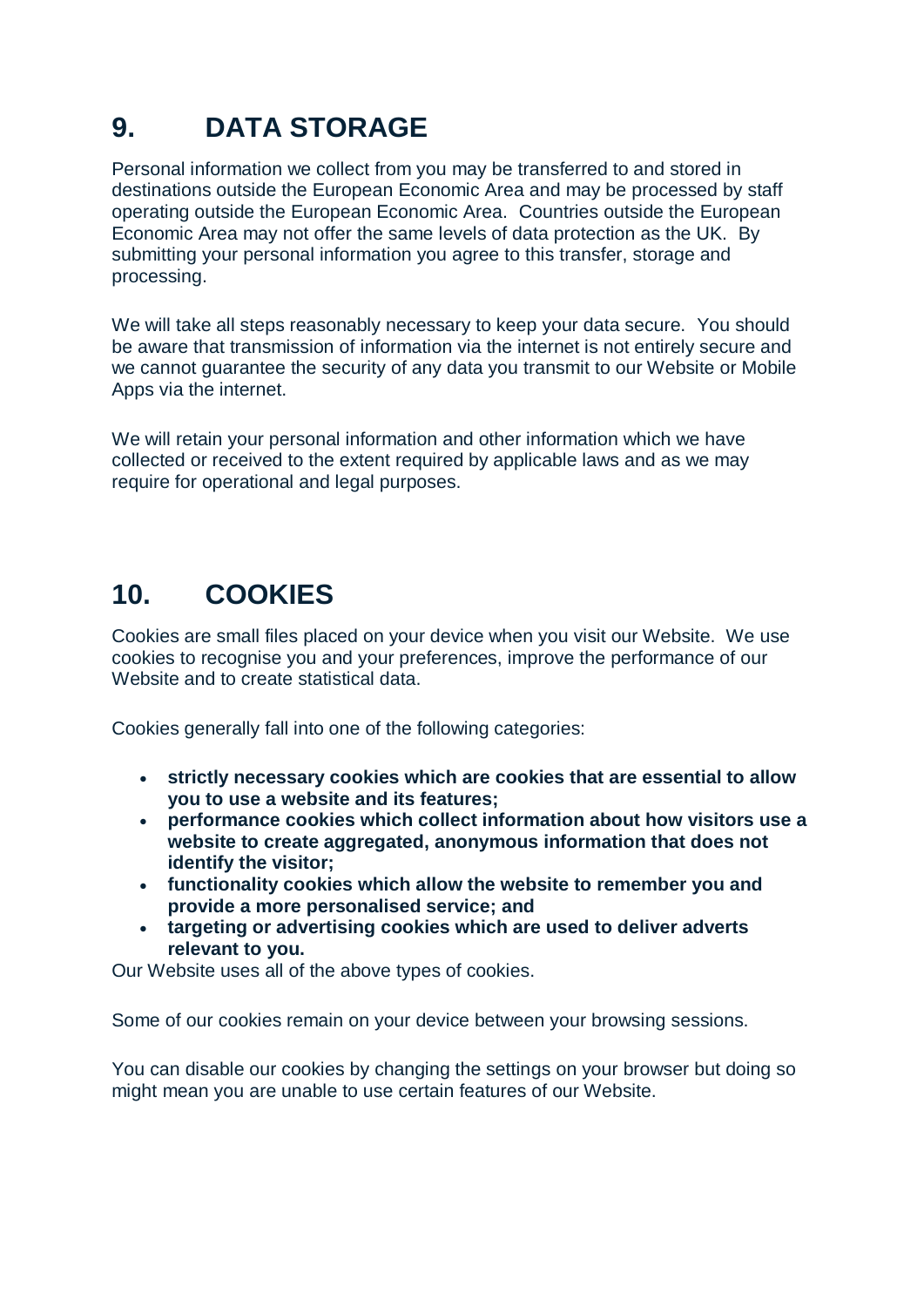## **9. DATA STORAGE**

Personal information we collect from you may be transferred to and stored in destinations outside the European Economic Area and may be processed by staff operating outside the European Economic Area. Countries outside the European Economic Area may not offer the same levels of data protection as the UK. By submitting your personal information you agree to this transfer, storage and processing.

We will take all steps reasonably necessary to keep your data secure. You should be aware that transmission of information via the internet is not entirely secure and we cannot guarantee the security of any data you transmit to our Website or Mobile Apps via the internet.

We will retain your personal information and other information which we have collected or received to the extent required by applicable laws and as we may require for operational and legal purposes.

## **10. COOKIES**

Cookies are small files placed on your device when you visit our Website. We use cookies to recognise you and your preferences, improve the performance of our Website and to create statistical data.

Cookies generally fall into one of the following categories:

- **strictly necessary cookies which are cookies that are essential to allow you to use a website and its features;**
- **performance cookies which collect information about how visitors use a website to create aggregated, anonymous information that does not identify the visitor;**
- **functionality cookies which allow the website to remember you and provide a more personalised service; and**
- **targeting or advertising cookies which are used to deliver adverts relevant to you.**

Our Website uses all of the above types of cookies.

Some of our cookies remain on your device between your browsing sessions.

You can disable our cookies by changing the settings on your browser but doing so might mean you are unable to use certain features of our Website.